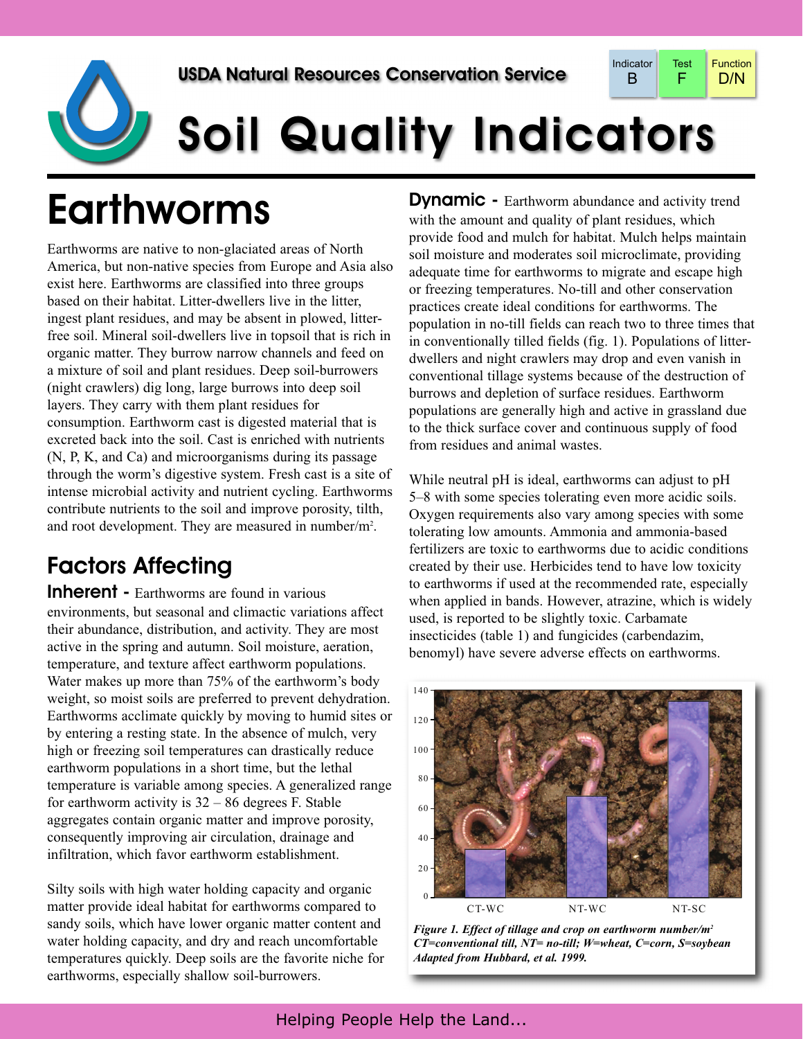

# **Soil Quality Indicators**

# Earthworms

Earthworms are native to non-glaciated areas of North America, but non-native species from Europe and Asia also exist here. Earthworms are classified into three groups based on their habitat. Litter-dwellers live in the litter, ingest plant residues, and may be absent in plowed, litterfree soil. Mineral soil-dwellers live in topsoil that is rich in organic matter. They burrow narrow channels and feed on a mixture of soil and plant residues. Deep soil-burrowers (night crawlers) dig long, large burrows into deep soil layers. They carry with them plant residues for consumption. Earthworm cast is digested material that is excreted back into the soil. Cast is enriched with nutrients (N, P, K, and Ca) and microorganisms during its passage through the worm's digestive system. Fresh cast is a site of intense microbial activity and nutrient cycling. Earthworms contribute nutrients to the soil and improve porosity, tilth, and root development. They are measured in number/m<sup>2</sup>.

# Factors Affecting

Inherent - Earthworms are found in various environments, but seasonal and climactic variations affect their abundance, distribution, and activity. They are most active in the spring and autumn. Soil moisture, aeration, temperature, and texture affect earthworm populations. Water makes up more than 75% of the earthworm's body weight, so moist soils are preferred to prevent dehydration. Earthworms acclimate quickly by moving to humid sites or by entering a resting state. In the absence of mulch, very high or freezing soil temperatures can drastically reduce earthworm populations in a short time, but the lethal temperature is variable among species. A generalized range for earthworm activity is  $32 - 86$  degrees F. Stable aggregates contain organic matter and improve porosity, consequently improving air circulation, drainage and infiltration, which favor earthworm establishment.

Silty soils with high water holding capacity and organic matter provide ideal habitat for earthworms compared to sandy soils, which have lower organic matter content and water holding capacity, and dry and reach uncomfortable temperatures quickly. Deep soils are the favorite niche for earthworms, especially shallow soil-burrowers.

**Dynamic -** Earthworm abundance and activity trend with the amount and quality of plant residues, which provide food and mulch for habitat. Mulch helps maintain soil moisture and moderates soil microclimate, providing adequate time for earthworms to migrate and escape high or freezing temperatures. No-till and other conservation practices create ideal conditions for earthworms. The population in no-till fields can reach two to three times that in conventionally tilled fields (fig. 1). Populations of litterdwellers and night crawlers may drop and even vanish in conventional tillage systems because of the destruction of burrows and depletion of surface residues. Earthworm populations are generally high and active in grassland due to the thick surface cover and continuous supply of food from residues and animal wastes.

While neutral pH is ideal, earthworms can adjust to pH 5–8 with some species tolerating even more acidic soils. Oxygen requirements also vary among species with some tolerating low amounts. Ammonia and ammonia-based fertilizers are toxic to earthworms due to acidic conditions created by their use. Herbicides tend to have low toxicity to earthworms if used at the recommended rate, especially when applied in bands. However, atrazine, which is widely used, is reported to be slightly toxic. Carbamate insecticides (table 1) and fungicides (carbendazim, benomyl) have severe adverse effects on earthworms.



*Figure 1. Effect of tillage and crop on earthworm number/m2 CT=conventional till, NT= no-till; W=wheat, C=corn, S=soybean Adapted from Hubbard, et al. 1999.*